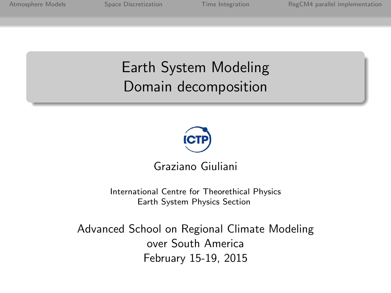### Earth System Modeling Domain decomposition



Graziano Giuliani

[International Centre for Theorethical Physics](http://www.ictp.it) [Earth System Physics Section](http://www.ictp.it)

Advanced School on Regional Climate Modeling over South America February 15-19, 2015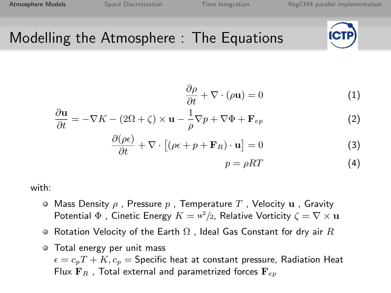# <span id="page-1-0"></span>Modelling the Atmosphere : The Equations



$$
\frac{\partial \rho}{\partial t} + \nabla \cdot (\rho \mathbf{u}) = 0 \tag{1}
$$

$$
\frac{\partial \mathbf{u}}{\partial t} = -\nabla K - (2\Omega + \zeta) \times \mathbf{u} - \frac{1}{\rho} \nabla p + \nabla \Phi + \mathbf{F}_{ep}
$$
(2)

$$
\frac{\partial(\rho\epsilon)}{\partial t} + \nabla \cdot [(\rho\epsilon + p + \mathbf{F}_R) \cdot \mathbf{u}] = 0 \tag{3}
$$

$$
p = \rho RT \tag{4}
$$

with:

- $\bullet$  Mass Density  $\rho$  , Pressure  $p$  , Temperature  $T$  , Velocity  $\bf{u}$  , Gravity Potential  $\Phi$  , Cinetic Energy  $K = \mathbf{u}^2/2$ , Relative Vorticity  $\zeta = \nabla \times \mathbf{u}$
- $\bullet$  Rotation Velocity of the Earth  $\Omega$  , Ideal Gas Constant for dry air  $R$
- Total energy per unit mass  $\epsilon = c_p T + K$ ,  $c_p$  = Specific heat at constant pressure, Radiation Heat Flux  $\mathbf{F}_R$ , Total external and parametrized forces  $\mathbf{F}_{en}$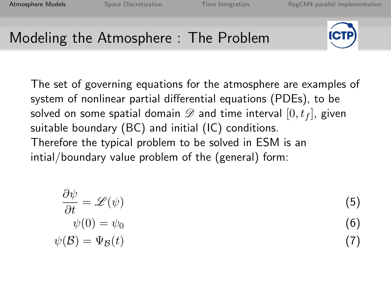### Modeling the Atmosphere : The Problem



The set of governing equations for the atmosphere are examples of system of nonlinear partial differential equations (PDEs), to be solved on some spatial domain  $\mathscr D$  and time interval  $[0, t_f]$ , given suitable boundary (BC) and initial (IC) conditions. Therefore the typical problem to be solved in ESM is an intial/boundary value problem of the (general) form:

$$
\frac{\partial \psi}{\partial t} = \mathcal{L}(\psi)
$$
\n
$$
\psi(0) = \psi_0
$$
\n
$$
\psi(\mathcal{B}) = \Psi_{\mathcal{B}}(t)
$$
\n(6)\n(7)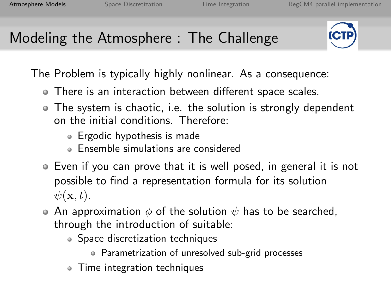# Modeling the Atmosphere : The Challenge



The Problem is typically highly nonlinear. As a consequence:

- There is an interaction between different space scales.
- The system is chaotic, i.e. the solution is strongly dependent on the initial conditions. Therefore:
	- Ergodic hypothesis is made
	- Ensemble simulations are considered
- Even if you can prove that it is well posed, in general it is not possible to find a representation formula for its solution  $\psi(\mathbf{x},t)$ .
- An approximation  $\phi$  of the solution  $\psi$  has to be searched, through the introduction of suitable:
	- Space discretization techniques
		- Parametrization of unresolved sub-grid processes
	- Time integration techniques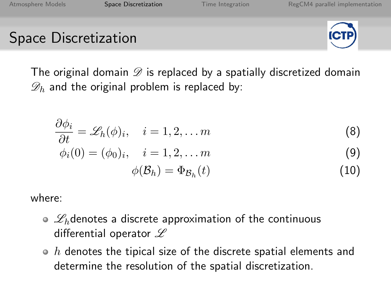#### <span id="page-4-0"></span>Space Discretization



The original domain  $\mathscr D$  is replaced by a spatially discretized domain  $\mathscr{D}_h$  and the original problem is replaced by:

$$
\frac{\partial \phi_i}{\partial t} = \mathscr{L}_h(\phi)_i, \quad i = 1, 2, \dots m \tag{8}
$$

$$
\phi_i(0) = (\phi_0)_i, \quad i = 1, 2, \dots m \tag{9}
$$

$$
\phi(\mathcal{B}_h) = \Phi_{\mathcal{B}_h}(t) \tag{10}
$$

where:

- $\circ$   $\mathscr{L}_h$ denotes a discrete approximation of the continuous differential operator  $\mathscr L$
- $\bullet$  h denotes the tipical size of the discrete spatial elements and determine the resolution of the spatial discretization.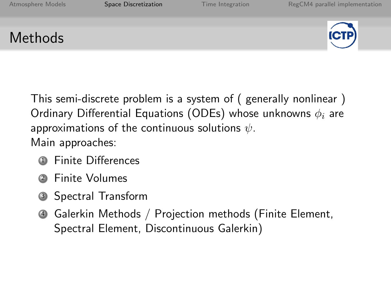### Methods



This semi-discrete problem is a system of ( generally nonlinear ) Ordinary Differential Equations (ODEs) whose unknowns  $\phi_i$  are approximations of the continuous solutions  $\psi$ . Main approaches:

- **1** Finite Differences
- **Finite Volumes**
- <sup>3</sup> Spectral Transform
- <sup>4</sup> Galerkin Methods / Projection methods (Finite Element, Spectral Element, Discontinuous Galerkin)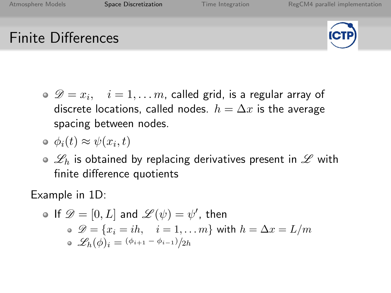# Finite Differences



- $\mathscr{D}=x_i,\quad i=1,\ldots m$ , called grid, is a regular array of discrete locations, called nodes.  $h = \Delta x$  is the average spacing between nodes.
- $\phi_i(t) \approx \psi(x_i, t)$
- $\circ$   $\mathscr{L}_h$  is obtained by replacing derivatives present in  $\mathscr L$  with finite difference quotients

Example in 1D:

\n- If 
$$
\mathscr{D} = [0, L]
$$
 and  $\mathscr{L}(\psi) = \psi'$ , then
\n- $\mathscr{D} = \{x_i = ih, \quad i = 1, \ldots m\}$  with  $h = \Delta x = L/m$
\n- $\mathscr{L}_h(\phi)_i = \frac{(\phi_{i+1} - \phi_{i-1})}{2h}$
\n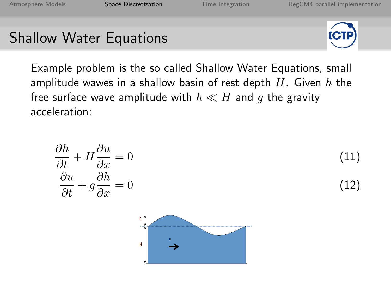н

#### Shallow Water Equations



Example problem is the so called Shallow Water Equations, small amplitude wawes in a shallow basin of rest depth  $H$ . Given  $h$  the free surface wave amplitude with  $h \ll H$  and g the gravity acceleration:

$$
\frac{\partial h}{\partial t} + H \frac{\partial u}{\partial x} = 0 \tag{11}
$$
\n
$$
\frac{\partial u}{\partial t} + g \frac{\partial h}{\partial x} = 0 \tag{12}
$$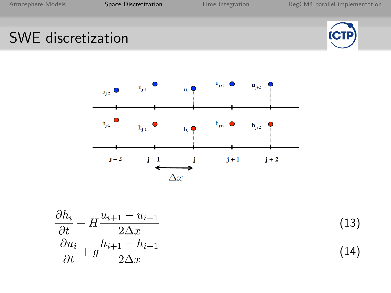# SWE discretization





$$
\frac{\partial h_i}{\partial t} + H \frac{u_{i+1} - u_{i-1}}{2\Delta x}
$$
\n
$$
\frac{\partial u_i}{\partial t} + g \frac{h_{i+1} - h_{i-1}}{2\Delta x}
$$
\n(14)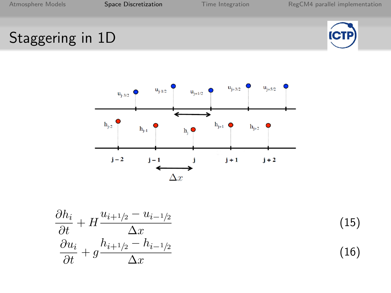# Staggering in 1D





$$
\frac{\partial h_i}{\partial t} + H \frac{u_{i+1/2} - u_{i-1/2}}{\Delta x}
$$
\n
$$
\frac{\partial u_i}{\partial t} + g \frac{h_{i+1/2} - h_{i-1/2}}{\Delta x}
$$
\n(15)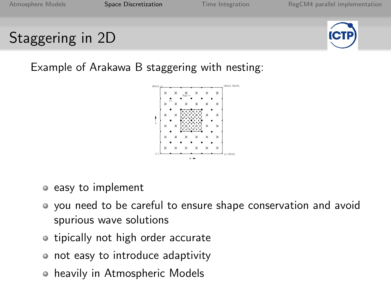# Staggering in 2D



Example of Arakawa B staggering with nesting:



- easy to implement
- you need to be careful to ensure shape conservation and avoid spurious wave solutions
- tipically not high order accurate
- not easy to introduce adaptivity
- heavily in Atmospheric Models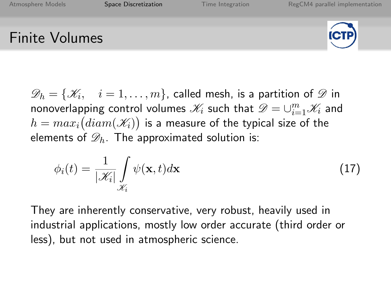#### Finite Volumes



 $\mathscr{D}_h = \{\mathscr{K}_i, \quad i = 1, \ldots, m\}$ , called mesh, is a partition of  $\mathscr{D}$  in nonoverlapping control volumes  $\mathscr{K}_i$  such that  $\mathscr{D} = \cup_{i=1}^m \mathscr{K}_i$  and  $h=max_i\big(diam(\mathscr{K}_i)\big)$  is a measure of the typical size of the elements of  $\mathscr{D}_h$ . The approximated solution is:

$$
\phi_i(t) = \frac{1}{|\mathcal{K}_i|} \int_{\mathcal{K}_i} \psi(\mathbf{x}, t) d\mathbf{x}
$$
\n(17)

They are inherently conservative, very robust, heavily used in industrial applications, mostly low order accurate (third order or less), but not used in atmospheric science.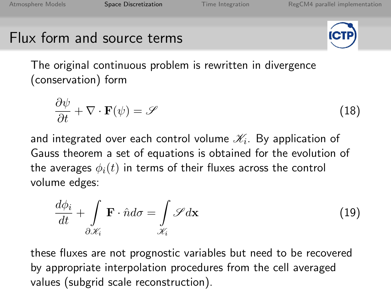### Flux form and source terms



The original continuous problem is rewritten in divergence (conservation) form

$$
\frac{\partial \psi}{\partial t} + \nabla \cdot \mathbf{F}(\psi) = \mathscr{S}
$$
 (18)

and integrated over each control volume  $\mathscr{K}_{i}.$  By application of Gauss theorem a set of equations is obtained for the evolution of the averages  $\phi_i(t)$  in terms of their fluxes across the control volume edges:

$$
\frac{d\phi_i}{dt} + \int\limits_{\partial \mathcal{X}_i} \mathbf{F} \cdot \hat{n} d\sigma = \int\limits_{\mathcal{X}_i} \mathcal{S} d\mathbf{x}
$$
\n(19)

these fluxes are not prognostic variables but need to be recovered by appropriate interpolation procedures from the cell averaged values (subgrid scale reconstruction).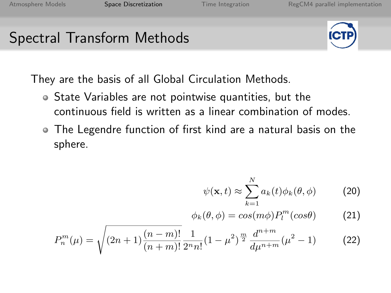### Spectral Transform Methods



They are the basis of all Global Circulation Methods.

- State Variables are not pointwise quantities, but the continuous field is written as a linear combination of modes.
- The Legendre function of first kind are a natural basis on the sphere.

$$
\psi(\mathbf{x},t) \approx \sum_{k=1}^{N} a_k(t)\phi_k(\theta,\phi)
$$
 (20)

$$
\phi_k(\theta,\phi) = \cos(m\phi) P_l^m(\cos\theta) \tag{21}
$$

$$
P_n^m(\mu) = \sqrt{(2n+1)\frac{(n-m)!}{(n+m)!}} \frac{1}{2^n n!} (1-\mu^2)^{\frac{m}{2}} \frac{d^{n+m}}{d\mu^{n+m}} (\mu^2 - 1)
$$
 (22)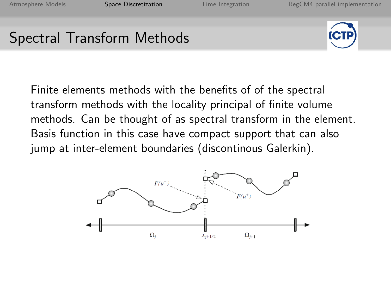## Spectral Transform Methods



Finite elements methods with the benefits of of the spectral transform methods with the locality principal of finite volume methods. Can be thought of as spectral transform in the element. Basis function in this case have compact support that can also jump at inter-element boundaries (discontinous Galerkin).

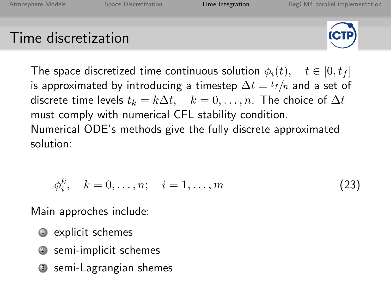### <span id="page-15-0"></span>Time discretization



The space discretized time continuous solution  $\phi_i(t)$ ,  $t \in [0, t_f]$ is approximated by introducing a timestep  $\Delta t = t_f/n$  and a set of discrete time levels  $t_k = k\Delta t$ ,  $k = 0, \ldots, n$ . The choice of  $\Delta t$ must comply with numerical CFL stability condition. Numerical ODE's methods give the fully discrete approximated solution:

$$
\phi_i^k, \quad k = 0, \dots, n; \quad i = 1, \dots, m \tag{23}
$$

Main approches include:

- <sup>1</sup> explicit schemes
- <sup>2</sup> semi-implicit schemes
- <sup>3</sup> semi-Lagrangian shemes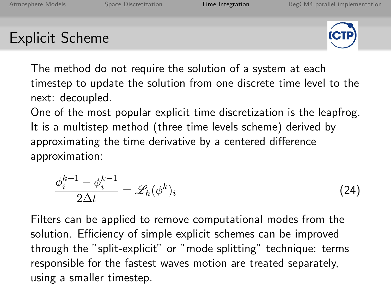### Explicit Scheme



The method do not require the solution of a system at each timestep to update the solution from one discrete time level to the next: decoupled.

One of the most popular explicit time discretization is the leapfrog. It is a multistep method (three time levels scheme) derived by approximating the time derivative by a centered difference approximation:

$$
\frac{\phi_i^{k+1} - \phi_i^{k-1}}{2\Delta t} = \mathcal{L}_h(\phi^k)_i
$$
\n(24)

Filters can be applied to remove computational modes from the solution. Efficiency of simple explicit schemes can be improved through the "split-explicit" or "mode splitting" technique: terms responsible for the fastest waves motion are treated separately, using a smaller timestep.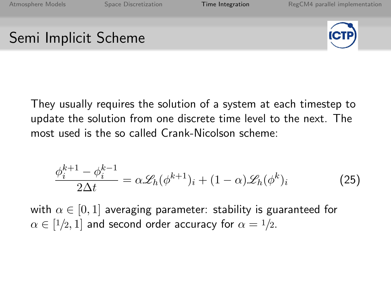### Semi Implicit Scheme



They usually requires the solution of a system at each timestep to update the solution from one discrete time level to the next. The most used is the so called Crank-Nicolson scheme:

$$
\frac{\phi_i^{k+1} - \phi_i^{k-1}}{2\Delta t} = \alpha \mathcal{L}_h(\phi^{k+1})_i + (1 - \alpha) \mathcal{L}_h(\phi^k)_i \tag{25}
$$

with  $\alpha \in [0, 1]$  averaging parameter: stability is guaranteed for  $\alpha \in [1/2,1]$  and second order accuracy for  $\alpha = 1/2.$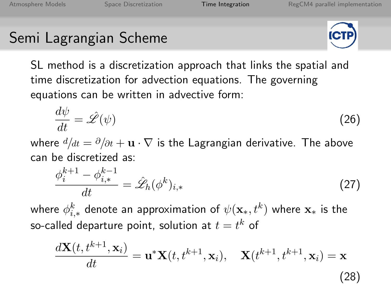#### Semi Lagrangian Scheme



SL method is a discretization approach that links the spatial and time discretization for advection equations. The governing equations can be written in advective form:

$$
\frac{d\psi}{dt} = \hat{\mathscr{L}}(\psi) \tag{26}
$$

where  $d/dt = \partial/\partial t + \mathbf{u} \cdot \nabla$  is the Lagrangian derivative. The above can be discretized as:

$$
\frac{\phi_i^{k+1} - \phi_{i,*}^{k-1}}{dt} = \hat{\mathscr{L}}_h(\phi^k)_{i,*}
$$
\n(27)

where  $\phi_{i,*}^k$  denote an approximation of  $\psi(\mathbf{x}_*,t^k)$  where  $\mathbf{x}_*$  is the so-called departure point, solution at  $t=t^k$  of

$$
\frac{d\mathbf{X}(t, t^{k+1}, \mathbf{x}_i)}{dt} = \mathbf{u}^* \mathbf{X}(t, t^{k+1}, \mathbf{x}_i), \quad \mathbf{X}(t^{k+1}, t^{k+1}, \mathbf{x}_i) = \mathbf{x}
$$
\n(28)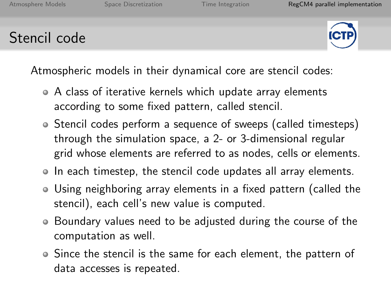### <span id="page-19-0"></span>Stencil code



Atmospheric models in their dynamical core are stencil codes:

- A class of iterative kernels which update array elements according to some fixed pattern, called stencil.
- Stencil codes perform a sequence of sweeps (called timesteps) through the simulation space, a 2- or 3-dimensional regular grid whose elements are referred to as nodes, cells or elements.
- In each timestep, the stencil code updates all array elements.
- Using neighboring array elements in a fixed pattern (called the stencil), each cell's new value is computed.
- Boundary values need to be adjusted during the course of the computation as well.
- Since the stencil is the same for each element, the pattern of data accesses is repeated.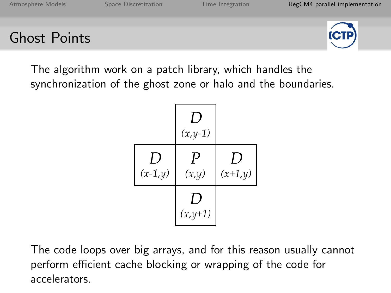### Ghost Points



The algorithm work on a patch library, which handles the synchronization of the ghost zone or halo and the boundaries.

|                 | $\left( \right)$<br>$(x,y-1)$ |                 |
|-----------------|-------------------------------|-----------------|
| ,,<br>$(x-1,y)$ | $\boldsymbol{P}$<br>(x,y)     | 1)<br>$(x+1,y)$ |
|                 | 1)<br>$(x, y+1)$              |                 |

The code loops over big arrays, and for this reason usually cannot perform efficient cache blocking or wrapping of the code for accelerators.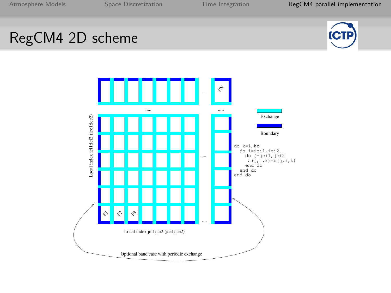### RegCM4 2D scheme



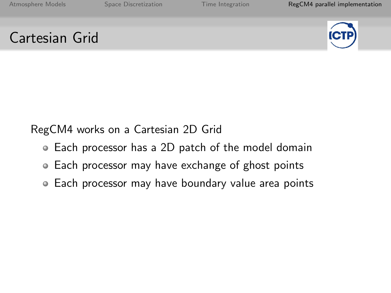### Cartesian Grid



RegCM4 works on a Cartesian 2D Grid

- Each processor has a 2D patch of the model domain
- Each processor may have exchange of ghost points
- Each processor may have boundary value area points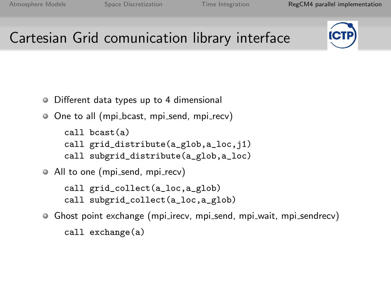# Cartesian Grid comunication library interface



- ۰ Different data types up to 4 dimensional
- O One to all (mpi\_bcast, mpi\_send, mpi\_recv)
	- call bcast(a) call grid\_distribute(a\_glob,a\_loc,j1) call subgrid\_distribute(a\_glob,a\_loc)
- All to one (mpi\_send, mpi\_recv)
	- call grid\_collect(a\_loc,a\_glob) call subgrid\_collect(a\_loc,a\_glob)
- Ghost point exchange (mpi irecv, mpi send, mpi wait, mpi sendrecv) call exchange(a)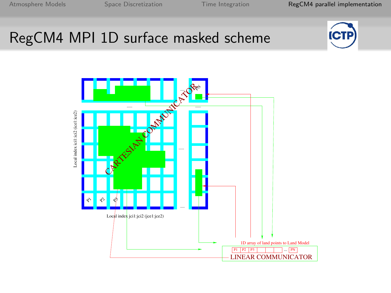# RegCM4 MPI 1D surface masked scheme



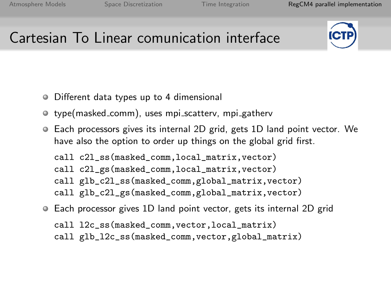# Cartesian To Linear comunication interface



- Different data types up to 4 dimensional
- type(masked\_comm), uses mpi\_scatterv, mpi\_gatherv
- Each processors gives its internal 2D grid, gets 1D land point vector. We have also the option to order up things on the global grid first.

call c2l\_ss(masked\_comm,local\_matrix,vector) call c2l\_gs(masked\_comm,local\_matrix,vector) call glb\_c2l\_ss(masked\_comm,global\_matrix,vector) call glb\_c2l\_gs(masked\_comm,global\_matrix,vector)

- Each processor gives 1D land point vector, gets its internal 2D grid
	- call l2c\_ss(masked\_comm,vector,local\_matrix)
	- call glb\_l2c\_ss(masked\_comm,vector,global\_matrix)